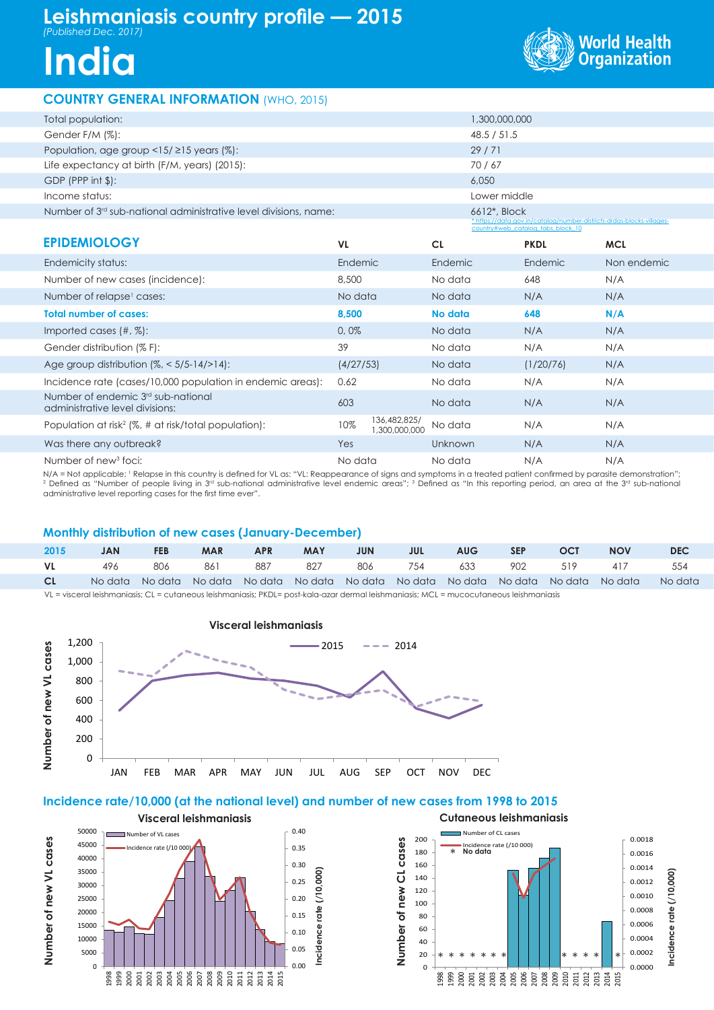# **Leishmaniasis country profile — 2015** *(Published Dec. 2017)*

**India**



## **COUNTRY GENERAL INFORMATION** (WHO, 2015)

| Total population:                                                                 |           |                               | 1,300,000,000 |                                                                                                            |             |
|-----------------------------------------------------------------------------------|-----------|-------------------------------|---------------|------------------------------------------------------------------------------------------------------------|-------------|
| Gender F/M (%):                                                                   |           |                               | 48.5 / 51.5   |                                                                                                            |             |
| Population, age group $\leq$ 15/ $\geq$ 15 years (%):                             |           |                               | 29/71         |                                                                                                            |             |
| Life expectancy at birth (F/M, years) (2015):                                     |           |                               | 70/67         |                                                                                                            |             |
| $GDP$ (PPP int $\frac{1}{2}$ ):                                                   |           |                               | 6.050         |                                                                                                            |             |
| Income status:                                                                    |           |                               | Lower middle  |                                                                                                            |             |
| Number of 3 <sup>rd</sup> sub-national administrative level divisions, name:      |           |                               | 6612*, Block  |                                                                                                            |             |
|                                                                                   |           |                               |               | * https://data.gov.in/catalog/number-districts-drdas-blocks-villages-<br>country#web catalog tabs block 10 |             |
| <b>EPIDEMIOLOGY</b>                                                               | <b>VL</b> |                               | <b>CL</b>     | <b>PKDL</b>                                                                                                | <b>MCL</b>  |
| Endemicity status:                                                                | Endemic   |                               | Endemic       | Endemic                                                                                                    | Non endemic |
| Number of new cases (incidence):                                                  | 8,500     |                               | No data       | 648                                                                                                        | N/A         |
| Number of relapse <sup>1</sup> cases:                                             | No data   |                               | No data       | N/A                                                                                                        | N/A         |
| <b>Total number of cases:</b>                                                     | 8,500     |                               | No data       | 648                                                                                                        | N/A         |
| Imported cases $(\#,\%)$ :                                                        | 0,0%      |                               | No data       | N/A                                                                                                        | N/A         |
| Gender distribution (% F):                                                        | 39        |                               | No data       | N/A                                                                                                        | N/A         |
| Age group distribution $(\%,-5/5-14/>14)$ :                                       | (4/27/53) |                               | No data       | (1/20/76)                                                                                                  | N/A         |
| Incidence rate (cases/10,000 population in endemic areas):                        | 0.62      |                               | No data       | N/A                                                                                                        | N/A         |
| Number of endemic 3 <sup>rd</sup> sub-national<br>administrative level divisions: | 603       |                               | No data       | N/A                                                                                                        | N/A         |
| Population at risk <sup>2</sup> ( $\%$ , # at risk/total population):             | 10%       | 136,482,825/<br>1,300,000,000 | No data       | N/A                                                                                                        | N/A         |
| Was there any outbreak?                                                           | Yes       |                               | Unknown       | N/A                                                                                                        | N/A         |

Number of new<sup>3</sup> foci: foci: No data No data N/A N/A N/A = Not applicable; <sup>1</sup> Relapse in this country is defined for VL as: "VL: Reappearance of signs and symptoms in a treated patient confirmed by parasite demonstration";

<sup>2</sup> Defined as "Number of people living in 3<sup>rd</sup> sub-national administrative level endemic areas"; <sup>3</sup> Defined as "In this reporting period, an area at the 3<sup>rd</sup> sub-national administrative level reporting cases for the first time ever".

## **Monthly distribution of new cases (January-December)**

| 2015 | <b>JAN</b> | <b>FEB</b> | <b>MAR</b> | <b>APR</b> | <b>MAY</b> | <b>JUN</b> | <b>STATE STATE STATE</b> | AUG SEP | <b>OCT</b> | <b>NOV</b>                                                                                      | DEC. |
|------|------------|------------|------------|------------|------------|------------|--------------------------|---------|------------|-------------------------------------------------------------------------------------------------|------|
| VL 1 |            |            |            |            |            |            |                          |         |            | 496 806 861 887 827 806 754 633 902 519 417 554                                                 |      |
| CL   |            |            |            |            |            |            |                          |         |            | No data No data No data No data No data No data No data No data No data No data No data No data |      |

VL = visceral leishmaniasis; CL = cutaneous leishmaniasis; PKDL= post-kala-azar dermal leishmaniasis; MCL = mucocutaneous leishmaniasis



## **Incidence rate/10,000 (at the national level) and number of new cases from 1998 to 2015**